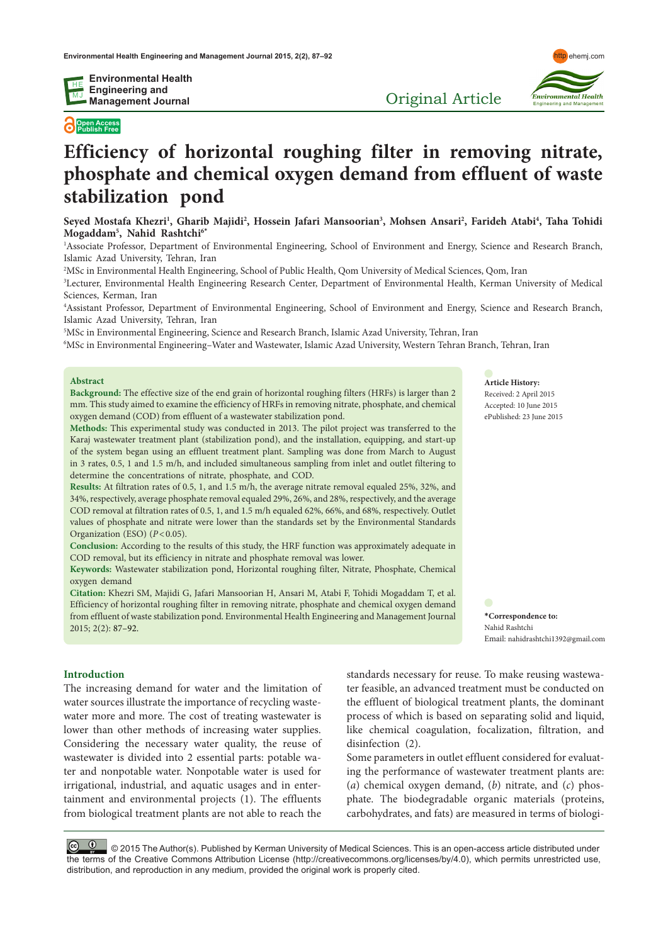**Environmental Health Engineering and Management Journal**

# **Open Access Publish Free**

# **Efficiency of horizontal roughing filter in removing nitrate, phosphate and chemical oxygen demand from effluent of waste stabilization pond**

**Seyed Mostafa Khezri1 , Gharib Majidi2 , Hossein Jafari Mansoorian3 , Mohsen Ansari2 , Farideh Atabi4 , Taha Tohidi Mogaddam5 , Nahid Rashtchi6\***

1 Associate Professor, Department of Environmental Engineering, School of Environment and Energy, Science and Research Branch, Islamic Azad University, Tehran, Iran

2 MSc in Environmental Health Engineering, School of Public Health, Qom University of Medical Sciences, Qom, Iran

3 Lecturer, Environmental Health Engineering Research Center, Department of Environmental Health, Kerman University of Medical Sciences, Kerman, Iran

4 Assistant Professor, Department of Environmental Engineering, School of Environment and Energy, Science and Research Branch, Islamic Azad University, Tehran, Iran

5 MSc in Environmental Engineering, Science and Research Branch, Islamic Azad University, Tehran, Iran

6 MSc in Environmental Engineering–Water and Wastewater, Islamic Azad University, Western Tehran Branch, Tehran, Iran

#### **Abstract**

**Background:** The effective size of the end grain of horizontal roughing filters (HRFs) is larger than 2 mm. This study aimed to examine the efficiency of HRFs in removing nitrate, phosphate, and chemical oxygen demand (COD) from effluent of a wastewater stabilization pond.

**Methods:** This experimental study was conducted in 2013. The pilot project was transferred to the Karaj wastewater treatment plant (stabilization pond), and the installation, equipping, and start-up of the system began using an effluent treatment plant. Sampling was done from March to August in 3 rates, 0.5, 1 and 1.5 m/h, and included simultaneous sampling from inlet and outlet filtering to determine the concentrations of nitrate, phosphate, and COD.

**Results:** At filtration rates of 0.5, 1, and 1.5 m/h, the average nitrate removal equaled 25%, 32%, and 34%, respectively, average phosphate removal equaled 29%, 26%, and 28%, respectively, and the average COD removal at filtration rates of 0.5, 1, and 1.5 m/h equaled 62%, 66%, and 68%, respectively. Outlet values of phosphate and nitrate were lower than the standards set by the Environmental Standards Organization (ESO) ( $P < 0.05$ ).

**Conclusion:** According to the results of this study, the HRF function was approximately adequate in COD removal, but its efficiency in nitrate and phosphate removal was lower.

**Keywords:** Wastewater stabilization pond, Horizontal roughing filter, Nitrate, Phosphate, Chemical oxygen demand

**Citation:** Khezri SM, Majidi G, Jafari Mansoorian H, Ansari M, Atabi F, Tohidi Mogaddam T, et al. Efficiency of horizontal roughing filter in removing nitrate, phosphate and chemical oxygen demand from effluent of waste stabilization pond. Environmental Health Engineering and Management Journal 2015; 2(2): 87–92.

# **\*Correspondence to:** Nahid Rashtchi Email: nahidrashtchi1392@gmail.com

**Article History:** Received: 2 April 2015 Accepted: 10 June 2015 ePublished: 23 June 2015

#### **Introduction**

The increasing demand for water and the limitation of water sources illustrate the importance of recycling wastewater more and more. The cost of treating wastewater is lower than other methods of increasing water supplies. Considering the necessary water quality, the reuse of wastewater is divided into 2 essential parts: potable water and nonpotable water. Nonpotable water is used for irrigational, industrial, and aquatic usages and in entertainment and environmental projects (1). The effluents from biological treatment plants are not able to reach the standards necessary for reuse. To make reusing wastewater feasible, an advanced treatment must be conducted on the effluent of biological treatment plants, the dominant process of which is based on separating solid and liquid, like chemical coagulation, focalization, filtration, and disinfection (2).

Some parameters in outlet effluent considered for evaluating the performance of wastewater treatment plants are: (*a*) chemical oxygen demand, (*b*) nitrate, and (*c*) phosphate. The biodegradable organic materials (proteins, carbohydrates, and fats) are measured in terms of biologi-

© © © © 2015 The Author(s). Published by Kerman University of Medical Sciences. This is an open-access article distributed under the terms of the Creative Commons Attribution License (http://creativecommons.org/licenses/by/4.0), which permits unrestricted use, distribution, and reproduction in any medium, provided the original work is properly cited.



Original Article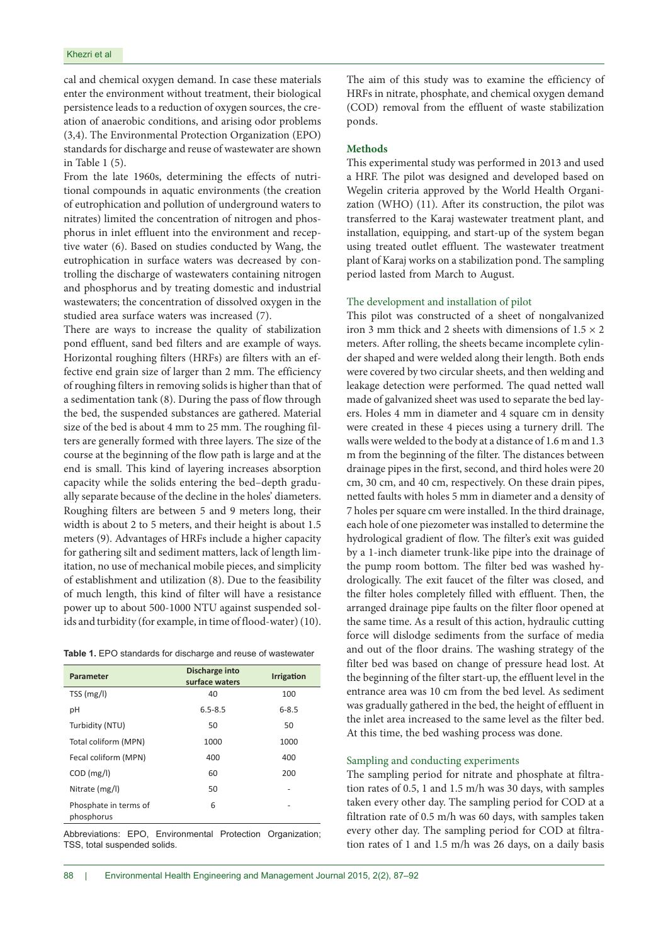cal and chemical oxygen demand. In case these materials enter the environment without treatment, their biological persistence leads to a reduction of oxygen sources, the creation of anaerobic conditions, and arising odor problems (3,4). The Environmental Protection Organization (EPO) standards for discharge and reuse of wastewater are shown in Table 1 (5).

From the late 1960s, determining the effects of nutritional compounds in aquatic environments (the creation of eutrophication and pollution of underground waters to nitrates) limited the concentration of nitrogen and phosphorus in inlet effluent into the environment and receptive water (6). Based on studies conducted by Wang, the eutrophication in surface waters was decreased by controlling the discharge of wastewaters containing nitrogen and phosphorus and by treating domestic and industrial wastewaters; the concentration of dissolved oxygen in the studied area surface waters was increased (7).

There are ways to increase the quality of stabilization pond effluent, sand bed filters and are example of ways. Horizontal roughing filters (HRFs) are filters with an effective end grain size of larger than 2 mm. The efficiency of roughing filters in removing solids is higher than that of a sedimentation tank (8). During the pass of flow through the bed, the suspended substances are gathered. Material size of the bed is about 4 mm to 25 mm. The roughing filters are generally formed with three layers. The size of the course at the beginning of the flow path is large and at the end is small. This kind of layering increases absorption capacity while the solids entering the bed–depth gradually separate because of the decline in the holes' diameters. Roughing filters are between 5 and 9 meters long, their width is about 2 to 5 meters, and their height is about 1.5 meters (9). Advantages of HRFs include a higher capacity for gathering silt and sediment matters, lack of length limitation, no use of mechanical mobile pieces, and simplicity of establishment and utilization (8). Due to the feasibility of much length, this kind of filter will have a resistance power up to about 500-1000 NTU against suspended solids and turbidity (for example, in time of flood-water) (10).

|  |  |  |  |  |  |  |  | Table 1. EPO standards for discharge and reuse of wastewater |
|--|--|--|--|--|--|--|--|--------------------------------------------------------------|
|--|--|--|--|--|--|--|--|--------------------------------------------------------------|

| Parameter                           | Discharge into<br>surface waters | <b>Irrigation</b> |
|-------------------------------------|----------------------------------|-------------------|
| TSS(mg/l)                           | 40                               | 100               |
| рH                                  | $6.5 - 8.5$                      | $6 - 8.5$         |
| Turbidity (NTU)                     | 50                               | 50                |
| Total coliform (MPN)                | 1000                             | 1000              |
| Fecal coliform (MPN)                | 400                              | 400               |
| $COD$ (mg/l)                        | 60                               | 200               |
| Nitrate (mg/l)                      | 50                               |                   |
| Phosphate in terms of<br>phosphorus | 6                                |                   |

Abbreviations: EPO, Environmental Protection Organization; TSS, total suspended solids.

The aim of this study was to examine the efficiency of HRFs in nitrate, phosphate, and chemical oxygen demand (COD) removal from the effluent of waste stabilization ponds.

#### **Methods**

This experimental study was performed in 2013 and used a HRF. The pilot was designed and developed based on Wegelin criteria approved by the World Health Organization (WHO) (11). After its construction, the pilot was transferred to the Karaj wastewater treatment plant, and installation, equipping, and start-up of the system began using treated outlet effluent. The wastewater treatment plant of Karaj works on a stabilization pond. The sampling period lasted from March to August.

# The development and installation of pilot

This pilot was constructed of a sheet of nongalvanized iron 3 mm thick and 2 sheets with dimensions of  $1.5 \times 2$ meters. After rolling, the sheets became incomplete cylinder shaped and were welded along their length. Both ends were covered by two circular sheets, and then welding and leakage detection were performed. The quad netted wall made of galvanized sheet was used to separate the bed layers. Holes 4 mm in diameter and 4 square cm in density were created in these 4 pieces using a turnery drill. The walls were welded to the body at a distance of 1.6 m and 1.3 m from the beginning of the filter. The distances between drainage pipes in the first, second, and third holes were 20 cm, 30 cm, and 40 cm, respectively. On these drain pipes, netted faults with holes 5 mm in diameter and a density of 7 holes per square cm were installed. In the third drainage, each hole of one piezometer was installed to determine the hydrological gradient of flow. The filter's exit was guided by a 1-inch diameter trunk-like pipe into the drainage of the pump room bottom. The filter bed was washed hydrologically. The exit faucet of the filter was closed, and the filter holes completely filled with effluent. Then, the arranged drainage pipe faults on the filter floor opened at the same time. As a result of this action, hydraulic cutting force will dislodge sediments from the surface of media and out of the floor drains. The washing strategy of the filter bed was based on change of pressure head lost. At the beginning of the filter start-up, the effluent level in the entrance area was 10 cm from the bed level. As sediment was gradually gathered in the bed, the height of effluent in the inlet area increased to the same level as the filter bed. At this time, the bed washing process was done.

#### Sampling and conducting experiments

The sampling period for nitrate and phosphate at filtration rates of 0.5, 1 and 1.5 m/h was 30 days, with samples taken every other day. The sampling period for COD at a filtration rate of 0.5 m/h was 60 days, with samples taken every other day. The sampling period for COD at filtration rates of 1 and 1.5 m/h was 26 days, on a daily basis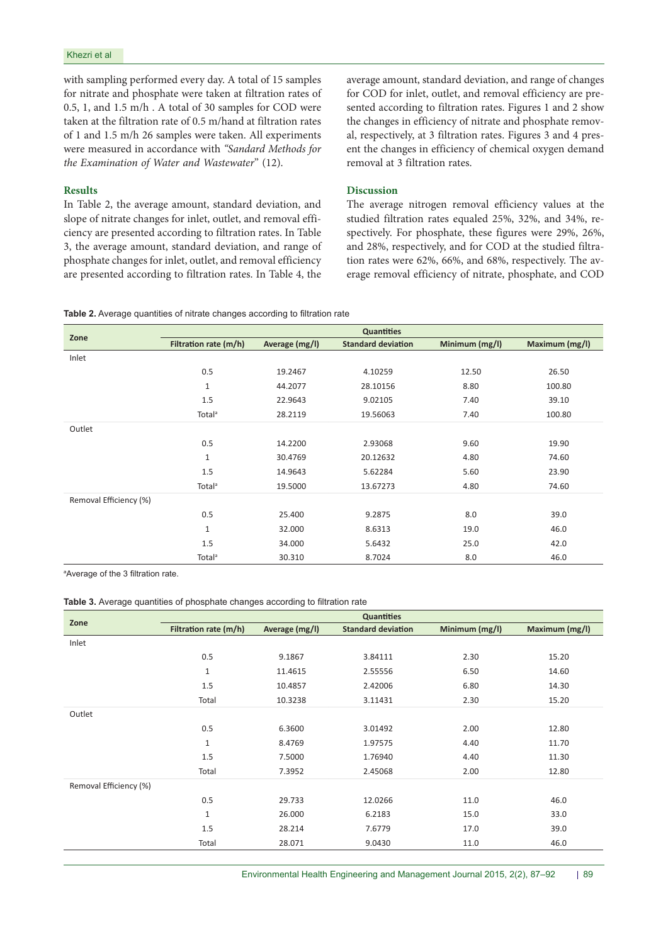with sampling performed every day. A total of 15 samples for nitrate and phosphate were taken at filtration rates of 0.5, 1, and 1.5 m/h . A total of 30 samples for COD were taken at the filtration rate of 0.5 m/hand at filtration rates of 1 and 1.5 m/h 26 samples were taken. All experiments were measured in accordance with *"Sandard Methods for the Examination of Water and Wastewater*" (12).

## **Results**

In Table 2, the average amount, standard deviation, and slope of nitrate changes for inlet, outlet, and removal efficiency are presented according to filtration rates. In Table 3, the average amount, standard deviation, and range of phosphate changes for inlet, outlet, and removal efficiency are presented according to filtration rates. In Table 4, the

average amount, standard deviation, and range of changes for COD for inlet, outlet, and removal efficiency are presented according to filtration rates. Figures 1 and 2 show the changes in efficiency of nitrate and phosphate removal, respectively, at 3 filtration rates. Figures 3 and 4 present the changes in efficiency of chemical oxygen demand removal at 3 filtration rates.

# **Discussion**

The average nitrogen removal efficiency values at the studied filtration rates equaled 25%, 32%, and 34%, respectively. For phosphate, these figures were 29%, 26%, and 28%, respectively, and for COD at the studied filtration rates were 62%, 66%, and 68%, respectively. The average removal efficiency of nitrate, phosphate, and COD

|  |  |  |  |  |  |  |  |  | <b>Table 2.</b> Average quantities of nitrate changes according to filtration rate |
|--|--|--|--|--|--|--|--|--|------------------------------------------------------------------------------------|
|--|--|--|--|--|--|--|--|--|------------------------------------------------------------------------------------|

|                        | <b>Quantities</b>     |                |                           |                |                |  |  |  |
|------------------------|-----------------------|----------------|---------------------------|----------------|----------------|--|--|--|
| Zone                   | Filtration rate (m/h) | Average (mg/l) | <b>Standard deviation</b> | Minimum (mg/l) | Maximum (mg/l) |  |  |  |
| Inlet                  |                       |                |                           |                |                |  |  |  |
|                        | 0.5                   | 19.2467        | 4.10259                   | 12.50          | 26.50          |  |  |  |
|                        | $\mathbf{1}$          | 44.2077        | 28.10156                  | 8.80           | 100.80         |  |  |  |
|                        | 1.5                   | 22.9643        | 9.02105                   | 7.40           | 39.10          |  |  |  |
|                        | Total <sup>a</sup>    | 28.2119        | 19.56063                  | 7.40           | 100.80         |  |  |  |
| Outlet                 |                       |                |                           |                |                |  |  |  |
|                        | 0.5                   | 14.2200        | 2.93068                   | 9.60           | 19.90          |  |  |  |
|                        | $\mathbf{1}$          | 30.4769        | 20.12632                  | 4.80           | 74.60          |  |  |  |
|                        | 1.5                   | 14.9643        | 5.62284                   | 5.60           | 23.90          |  |  |  |
|                        | Total <sup>a</sup>    | 19.5000        | 13.67273                  | 4.80           | 74.60          |  |  |  |
| Removal Efficiency (%) |                       |                |                           |                |                |  |  |  |
|                        | 0.5                   | 25.400         | 9.2875                    | 8.0            | 39.0           |  |  |  |
|                        | $\mathbf{1}$          | 32.000         | 8.6313                    | 19.0           | 46.0           |  |  |  |
|                        | 1.5                   | 34.000         | 5.6432                    | 25.0           | 42.0           |  |  |  |
|                        | Total <sup>a</sup>    | 30.310         | 8.7024                    | 8.0            | 46.0           |  |  |  |

a Average of the 3 filtration rate.

**Table 3.** Average quantities of phosphate changes according to filtration rate

| Zone                   | <b>Quantities</b>     |                |                           |                |                |  |  |
|------------------------|-----------------------|----------------|---------------------------|----------------|----------------|--|--|
|                        | Filtration rate (m/h) | Average (mg/l) | <b>Standard deviation</b> | Minimum (mg/l) | Maximum (mg/l) |  |  |
| Inlet                  |                       |                |                           |                |                |  |  |
|                        | 0.5                   | 9.1867         | 3.84111                   | 2.30           | 15.20          |  |  |
|                        | $\mathbf{1}$          | 11.4615        | 2.55556                   | 6.50           | 14.60          |  |  |
|                        | 1.5                   | 10.4857        | 2.42006                   | 6.80           | 14.30          |  |  |
|                        | Total                 | 10.3238        | 3.11431                   | 2.30           | 15.20          |  |  |
| Outlet                 |                       |                |                           |                |                |  |  |
|                        | 0.5                   | 6.3600         | 3.01492                   | 2.00           | 12.80          |  |  |
|                        | $\mathbf{1}$          | 8.4769         | 1.97575                   | 4.40           | 11.70          |  |  |
|                        | 1.5                   | 7.5000         | 1.76940                   | 4.40           | 11.30          |  |  |
|                        | Total                 | 7.3952         | 2.45068                   | 2.00           | 12.80          |  |  |
| Removal Efficiency (%) |                       |                |                           |                |                |  |  |
|                        | 0.5                   | 29.733         | 12.0266                   | 11.0           | 46.0           |  |  |
|                        | $\mathbf{1}$          | 26.000         | 6.2183                    | 15.0           | 33.0           |  |  |
|                        | 1.5                   | 28.214         | 7.6779                    | 17.0           | 39.0           |  |  |
|                        | Total                 | 28.071         | 9.0430                    | 11.0           | 46.0           |  |  |

Environmental Health Engineering and Management Journal 2015, 2(2), 87-92 | 89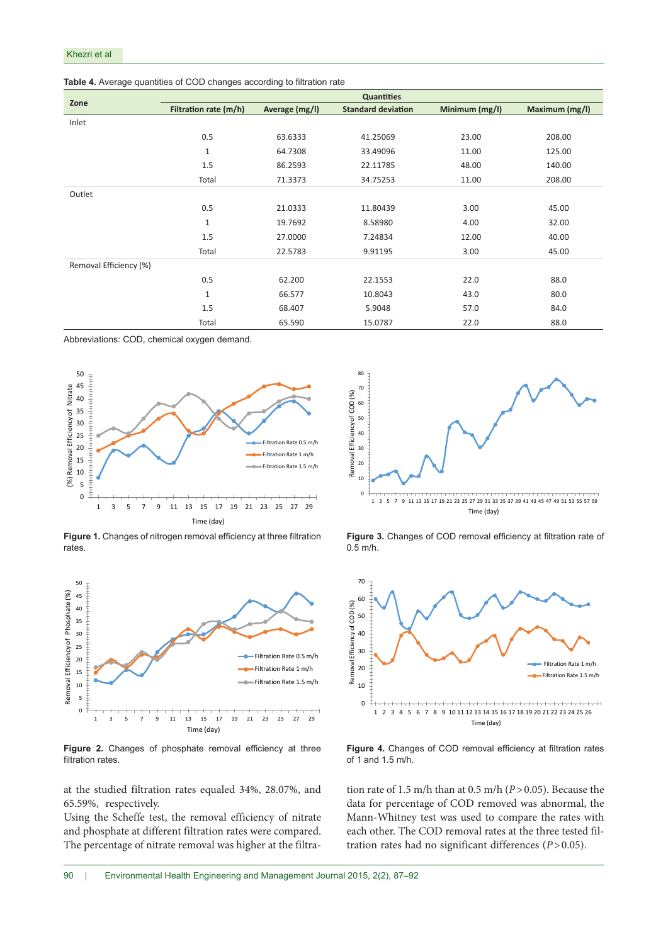|                        | <b>Quantities</b>     |                |                           |                |                |  |  |  |
|------------------------|-----------------------|----------------|---------------------------|----------------|----------------|--|--|--|
| Zone                   | Filtration rate (m/h) | Average (mg/l) | <b>Standard deviation</b> | Minimum (mg/l) | Maximum (mg/l) |  |  |  |
| Inlet                  |                       |                |                           |                |                |  |  |  |
|                        | 0.5                   | 63.6333        | 41.25069                  | 23.00          | 208.00         |  |  |  |
|                        | $\mathbf{1}$          | 64.7308        | 33.49096                  | 11.00          | 125.00         |  |  |  |
|                        | 1.5                   | 86.2593        | 22.11785                  | 48.00          | 140.00         |  |  |  |
|                        | Total                 | 71.3373        | 34.75253                  | 11.00          | 208.00         |  |  |  |
| Outlet                 |                       |                |                           |                |                |  |  |  |
|                        | 0.5                   | 21.0333        | 11.80439                  | 3.00           | 45.00          |  |  |  |
|                        | $\mathbf{1}$          | 19.7692        | 8.58980                   | 4.00           | 32.00          |  |  |  |
|                        | 1.5                   | 27.0000        | 7.24834                   | 12.00          | 40.00          |  |  |  |
|                        | Total                 | 22.5783        | 9.91195                   | 3.00           | 45.00          |  |  |  |
| Removal Efficiency (%) |                       |                |                           |                |                |  |  |  |
|                        | 0.5                   | 62.200         | 22.1553                   | 22.0           | 88.0           |  |  |  |
|                        | $\mathbf{1}$          | 66.577         | 10.8043                   | 43.0           | 80.0           |  |  |  |
|                        | 1.5                   | 68.407         | 5.9048                    | 57.0           | 84.0           |  |  |  |
|                        | Total                 | 65.590         | 15.0787                   | 22.0           | 88.0           |  |  |  |

Abbreviations: COD, chemical oxygen demand.



**Figure 1.** Changes of nitrogen removal efficiency at three filtration rates.



Figure 2. Changes of phosphate removal efficiency at three filtration rates.

at the studied filtration rates equaled 34%, 28.07%, and 65.59%, respectively.

Using the Scheffe test, the removal efficiency of nitrate and phosphate at different filtration rates were compared. The percentage of nitrate removal was higher at the filtra-



**Figure 3.** Changes of COD removal efficiency at filtration rate of  $0.\bar{5}$  m/h.



**Figure 4.** Changes of COD removal efficiency at filtration rates of 1 and 1.5 m/h.

tion rate of 1.5 m/h than at 0.5 m/h (*P*>0.05). Because the data for percentage of COD removed was abnormal, the Mann-Whitney test was used to compare the rates with each other. The COD removal rates at the three tested filtration rates had no significant differences (*P*>0.05).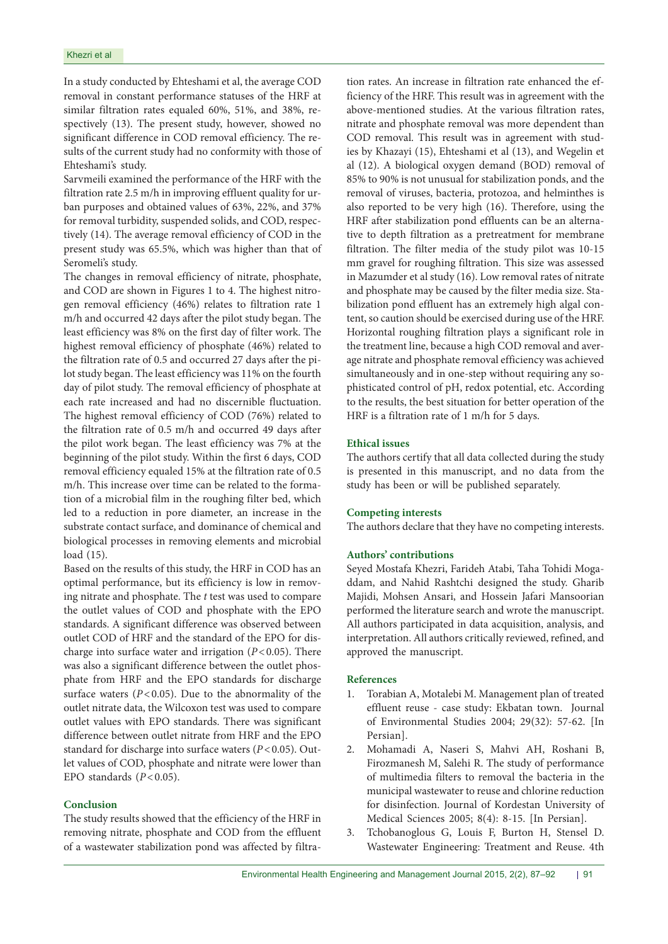In a study conducted by Ehteshami et al, the average COD removal in constant performance statuses of the HRF at similar filtration rates equaled 60%, 51%, and 38%, respectively (13). The present study, however, showed no significant difference in COD removal efficiency. The results of the current study had no conformity with those of Ehteshami's study.

Sarvmeili examined the performance of the HRF with the filtration rate 2.5 m/h in improving effluent quality for urban purposes and obtained values of 63%, 22%, and 37% for removal turbidity, suspended solids, and COD, respectively (14). The average removal efficiency of COD in the present study was 65.5%, which was higher than that of Seromeli's study.

The changes in removal efficiency of nitrate, phosphate, and COD are shown in Figures 1 to 4. The highest nitrogen removal efficiency (46%) relates to filtration rate 1 m/h and occurred 42 days after the pilot study began. The least efficiency was 8% on the first day of filter work. The highest removal efficiency of phosphate (46%) related to the filtration rate of 0.5 and occurred 27 days after the pilot study began. The least efficiency was 11% on the fourth day of pilot study. The removal efficiency of phosphate at each rate increased and had no discernible fluctuation. The highest removal efficiency of COD (76%) related to the filtration rate of 0.5 m/h and occurred 49 days after the pilot work began. The least efficiency was 7% at the beginning of the pilot study. Within the first 6 days, COD removal efficiency equaled 15% at the filtration rate of 0.5 m/h. This increase over time can be related to the formation of a microbial film in the roughing filter bed, which led to a reduction in pore diameter, an increase in the substrate contact surface, and dominance of chemical and biological processes in removing elements and microbial load (15).

Based on the results of this study, the HRF in COD has an optimal performance, but its efficiency is low in removing nitrate and phosphate. The *t* test was used to compare the outlet values of COD and phosphate with the EPO standards. A significant difference was observed between outlet COD of HRF and the standard of the EPO for discharge into surface water and irrigation (*P*<0.05). There was also a significant difference between the outlet phosphate from HRF and the EPO standards for discharge surface waters  $(P<0.05)$ . Due to the abnormality of the outlet nitrate data, the Wilcoxon test was used to compare outlet values with EPO standards. There was significant difference between outlet nitrate from HRF and the EPO standard for discharge into surface waters (*P*<0.05). Outlet values of COD, phosphate and nitrate were lower than EPO standards  $(P<0.05)$ .

# **Conclusion**

The study results showed that the efficiency of the HRF in removing nitrate, phosphate and COD from the effluent of a wastewater stabilization pond was affected by filtration rates. An increase in filtration rate enhanced the efficiency of the HRF. This result was in agreement with the above-mentioned studies. At the various filtration rates, nitrate and phosphate removal was more dependent than COD removal. This result was in agreement with studies by Khazayi (15), Ehteshami et al (13), and Wegelin et al (12). A biological oxygen demand (BOD) removal of 85% to 90% is not unusual for stabilization ponds, and the removal of viruses, bacteria, protozoa, and helminthes is also reported to be very high (16). Therefore, using the HRF after stabilization pond effluents can be an alternative to depth filtration as a pretreatment for membrane filtration. The filter media of the study pilot was 10-15 mm gravel for roughing filtration. This size was assessed in Mazumder et al study (16). Low removal rates of nitrate and phosphate may be caused by the filter media size. Stabilization pond effluent has an extremely high algal content, so caution should be exercised during use of the HRF. Horizontal roughing filtration plays a significant role in the treatment line, because a high COD removal and average nitrate and phosphate removal efficiency was achieved simultaneously and in one-step without requiring any sophisticated control of pH, redox potential, etc. According to the results, the best situation for better operation of the HRF is a filtration rate of 1 m/h for 5 days.

## **Ethical issues**

The authors certify that all data collected during the study is presented in this manuscript, and no data from the study has been or will be published separately.

#### **Competing interests**

The authors declare that they have no competing interests.

# **Authors' contributions**

Seyed Mostafa Khezri, Farideh Atabi, Taha Tohidi Mogaddam, and Nahid Rashtchi designed the study. Gharib Majidi, Mohsen Ansari, and Hossein Jafari Mansoorian performed the literature search and wrote the manuscript. All authors participated in data acquisition, analysis, and interpretation. All authors critically reviewed, refined, and approved the manuscript.

#### **References**

- 1. Torabian A, Motalebi M. Management plan of treated effluent reuse - case study: Ekbatan town. Journal of Environmental Studies 2004; 29(32): 57-62. [In Persian].
- 2. Mohamadi A, Naseri S, Mahvi AH, Roshani B, Firozmanesh M, Salehi R. The study of performance of multimedia filters to removal the bacteria in the municipal wastewater to reuse and chlorine reduction for disinfection. Journal of Kordestan University of Medical Sciences 2005; 8(4): 8-15. [In Persian].
- 3. Tchobanoglous G, Louis F, Burton H, Stensel D. Wastewater Engineering: Treatment and Reuse. 4th